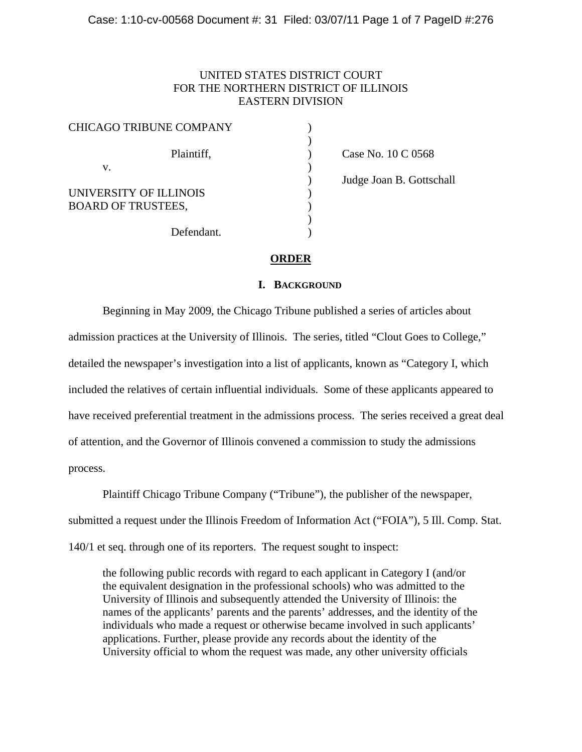# UNITED STATES DISTRICT COURT FOR THE NORTHERN DISTRICT OF ILLINOIS EASTERN DIVISION

| <b>CHICAGO TRIBUNE COMPANY</b> |  |
|--------------------------------|--|
| Plaintiff,                     |  |
| V.                             |  |
| UNIVERSITY OF ILLINOIS         |  |
| <b>BOARD OF TRUSTEES,</b>      |  |
| Defendant.                     |  |

) Case No. 10 C 0568 ) Judge Joan B. Gottschall

## **ORDER**

## **I. BACKGROUND**

 Beginning in May 2009, the Chicago Tribune published a series of articles about admission practices at the University of Illinois. The series, titled "Clout Goes to College," detailed the newspaper's investigation into a list of applicants, known as "Category I, which included the relatives of certain influential individuals. Some of these applicants appeared to have received preferential treatment in the admissions process. The series received a great deal of attention, and the Governor of Illinois convened a commission to study the admissions process.

 Plaintiff Chicago Tribune Company ("Tribune"), the publisher of the newspaper, submitted a request under the Illinois Freedom of Information Act ("FOIA"), 5 Ill. Comp. Stat. 140/1 et seq. through one of its reporters. The request sought to inspect:

the following public records with regard to each applicant in Category I (and/or the equivalent designation in the professional schools) who was admitted to the University of Illinois and subsequently attended the University of Illinois: the names of the applicants' parents and the parents' addresses, and the identity of the individuals who made a request or otherwise became involved in such applicants' applications. Further, please provide any records about the identity of the University official to whom the request was made, any other university officials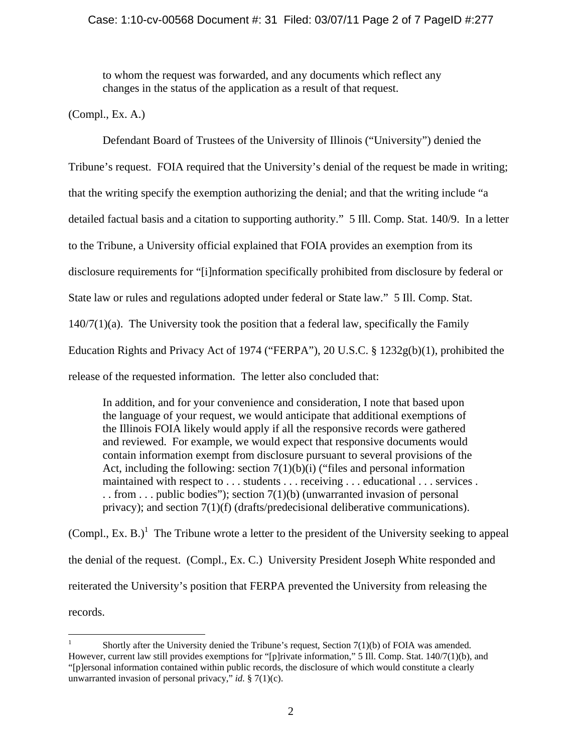# Case: 1:10-cv-00568 Document #: 31 Filed: 03/07/11 Page 2 of 7 PageID #:277

to whom the request was forwarded, and any documents which reflect any changes in the status of the application as a result of that request.

(Compl., Ex. A.)

 Defendant Board of Trustees of the University of Illinois ("University") denied the Tribune's request. FOIA required that the University's denial of the request be made in writing; that the writing specify the exemption authorizing the denial; and that the writing include "a detailed factual basis and a citation to supporting authority." 5 Ill. Comp. Stat. 140/9. In a letter to the Tribune, a University official explained that FOIA provides an exemption from its disclosure requirements for "[i]nformation specifically prohibited from disclosure by federal or State law or rules and regulations adopted under federal or State law." 5 Ill. Comp. Stat.  $140/7(1)(a)$ . The University took the position that a federal law, specifically the Family Education Rights and Privacy Act of 1974 ("FERPA"), 20 U.S.C. § 1232g(b)(1), prohibited the release of the requested information. The letter also concluded that:

In addition, and for your convenience and consideration, I note that based upon the language of your request, we would anticipate that additional exemptions of the Illinois FOIA likely would apply if all the responsive records were gathered and reviewed. For example, we would expect that responsive documents would contain information exempt from disclosure pursuant to several provisions of the Act, including the following: section  $7(1)(b)(i)$  ("files and personal information") maintained with respect to . . . students . . . receiving . . . educational . . . services . . . from . . . public bodies"); section  $7(1)(b)$  (unwarranted invasion of personal privacy); and section 7(1)(f) (drafts/predecisional deliberative communications).

(Compl., Ex. B.)<sup>1</sup> The Tribune wrote a letter to the president of the University seeking to appeal the denial of the request. (Compl., Ex. C.) University President Joseph White responded and reiterated the University's position that FERPA prevented the University from releasing the records.

 $\frac{1}{1}$  Shortly after the University denied the Tribune's request, Section 7(1)(b) of FOIA was amended. However, current law still provides exemptions for "[p]rivate information," 5 Ill. Comp. Stat. 140/7(1)(b), and "[p]ersonal information contained within public records, the disclosure of which would constitute a clearly unwarranted invasion of personal privacy," *id.* § 7(1)(c).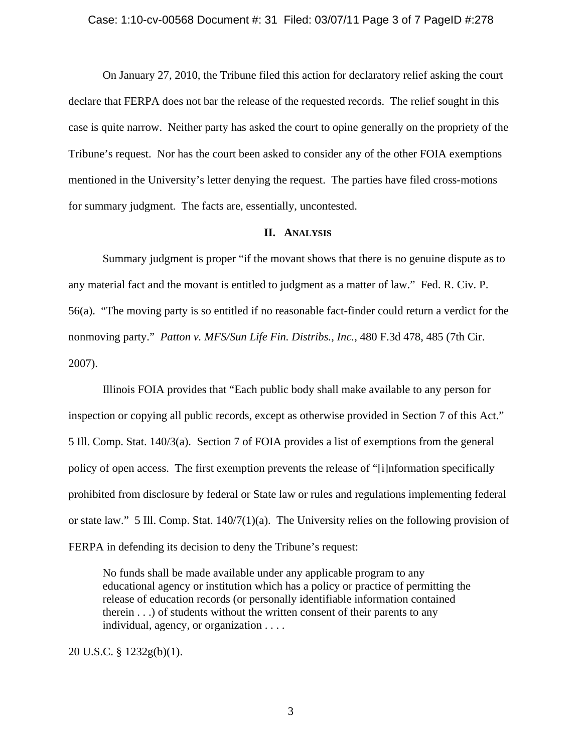#### Case: 1:10-cv-00568 Document #: 31 Filed: 03/07/11 Page 3 of 7 PageID #:278

 On January 27, 2010, the Tribune filed this action for declaratory relief asking the court declare that FERPA does not bar the release of the requested records. The relief sought in this case is quite narrow. Neither party has asked the court to opine generally on the propriety of the Tribune's request. Nor has the court been asked to consider any of the other FOIA exemptions mentioned in the University's letter denying the request. The parties have filed cross-motions for summary judgment. The facts are, essentially, uncontested.

### **II. ANALYSIS**

 Summary judgment is proper "if the movant shows that there is no genuine dispute as to any material fact and the movant is entitled to judgment as a matter of law." Fed. R. Civ. P. 56(a). "The moving party is so entitled if no reasonable fact-finder could return a verdict for the nonmoving party." *Patton v. MFS/Sun Life Fin. Distribs., Inc.*, 480 F.3d 478, 485 (7th Cir. 2007).

 Illinois FOIA provides that "Each public body shall make available to any person for inspection or copying all public records, except as otherwise provided in Section 7 of this Act." 5 Ill. Comp. Stat. 140/3(a). Section 7 of FOIA provides a list of exemptions from the general policy of open access. The first exemption prevents the release of "[i]nformation specifically prohibited from disclosure by federal or State law or rules and regulations implementing federal or state law." 5 Ill. Comp. Stat. 140/7(1)(a). The University relies on the following provision of FERPA in defending its decision to deny the Tribune's request:

No funds shall be made available under any applicable program to any educational agency or institution which has a policy or practice of permitting the release of education records (or personally identifiable information contained therein . . .) of students without the written consent of their parents to any individual, agency, or organization . . . .

20 U.S.C. § 1232g(b)(1).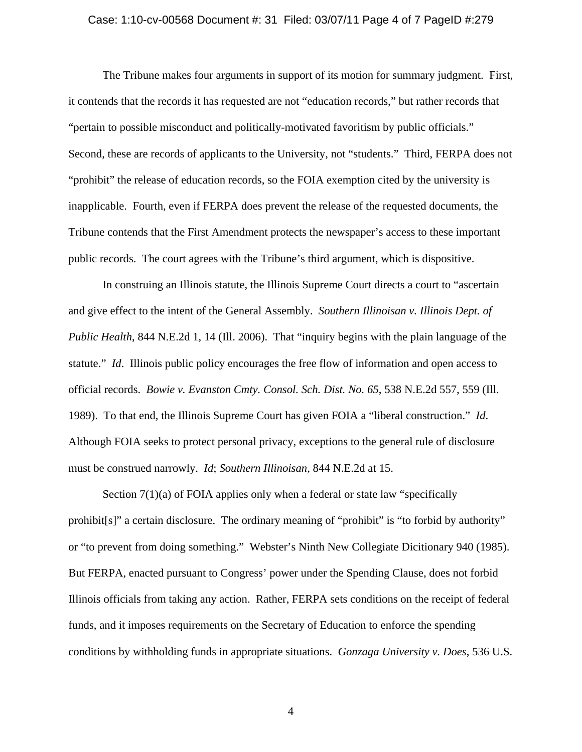#### Case: 1:10-cv-00568 Document #: 31 Filed: 03/07/11 Page 4 of 7 PageID #:279

 The Tribune makes four arguments in support of its motion for summary judgment. First, it contends that the records it has requested are not "education records," but rather records that "pertain to possible misconduct and politically-motivated favoritism by public officials." Second, these are records of applicants to the University, not "students." Third, FERPA does not "prohibit" the release of education records, so the FOIA exemption cited by the university is inapplicable. Fourth, even if FERPA does prevent the release of the requested documents, the Tribune contends that the First Amendment protects the newspaper's access to these important public records. The court agrees with the Tribune's third argument, which is dispositive.

 In construing an Illinois statute, the Illinois Supreme Court directs a court to "ascertain and give effect to the intent of the General Assembly. *Southern Illinoisan v. Illinois Dept. of Public Health*, 844 N.E.2d 1, 14 (Ill. 2006). That "inquiry begins with the plain language of the statute." *Id*. Illinois public policy encourages the free flow of information and open access to official records. *Bowie v. Evanston Cmty. Consol. Sch. Dist. No. 65*, 538 N.E.2d 557, 559 (Ill. 1989). To that end, the Illinois Supreme Court has given FOIA a "liberal construction." *Id*. Although FOIA seeks to protect personal privacy, exceptions to the general rule of disclosure must be construed narrowly. *Id*; *Southern Illinoisan*, 844 N.E.2d at 15.

Section 7(1)(a) of FOIA applies only when a federal or state law "specifically prohibit[s]" a certain disclosure. The ordinary meaning of "prohibit" is "to forbid by authority" or "to prevent from doing something." Webster's Ninth New Collegiate Dicitionary 940 (1985). But FERPA, enacted pursuant to Congress' power under the Spending Clause, does not forbid Illinois officials from taking any action. Rather, FERPA sets conditions on the receipt of federal funds, and it imposes requirements on the Secretary of Education to enforce the spending conditions by withholding funds in appropriate situations. *Gonzaga University v. Does*, 536 U.S.

4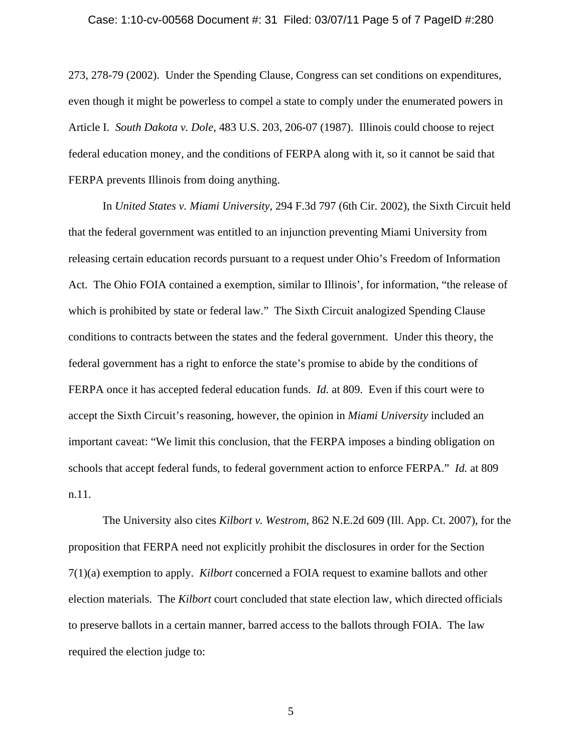#### Case: 1:10-cv-00568 Document #: 31 Filed: 03/07/11 Page 5 of 7 PageID #:280

273, 278-79 (2002). Under the Spending Clause, Congress can set conditions on expenditures, even though it might be powerless to compel a state to comply under the enumerated powers in Article I. *South Dakota v. Dole*, 483 U.S. 203, 206-07 (1987). Illinois could choose to reject federal education money, and the conditions of FERPA along with it, so it cannot be said that FERPA prevents Illinois from doing anything.

 In *United States v. Miami University*, 294 F.3d 797 (6th Cir. 2002), the Sixth Circuit held that the federal government was entitled to an injunction preventing Miami University from releasing certain education records pursuant to a request under Ohio's Freedom of Information Act. The Ohio FOIA contained a exemption, similar to Illinois', for information, "the release of which is prohibited by state or federal law." The Sixth Circuit analogized Spending Clause conditions to contracts between the states and the federal government. Under this theory, the federal government has a right to enforce the state's promise to abide by the conditions of FERPA once it has accepted federal education funds. *Id.* at 809. Even if this court were to accept the Sixth Circuit's reasoning, however, the opinion in *Miami University* included an important caveat: "We limit this conclusion, that the FERPA imposes a binding obligation on schools that accept federal funds, to federal government action to enforce FERPA." *Id.* at 809 n.11.

 The University also cites *Kilbort v. Westrom*, 862 N.E.2d 609 (Ill. App. Ct. 2007), for the proposition that FERPA need not explicitly prohibit the disclosures in order for the Section 7(1)(a) exemption to apply. *Kilbort* concerned a FOIA request to examine ballots and other election materials. The *Kilbort* court concluded that state election law, which directed officials to preserve ballots in a certain manner, barred access to the ballots through FOIA. The law required the election judge to:

5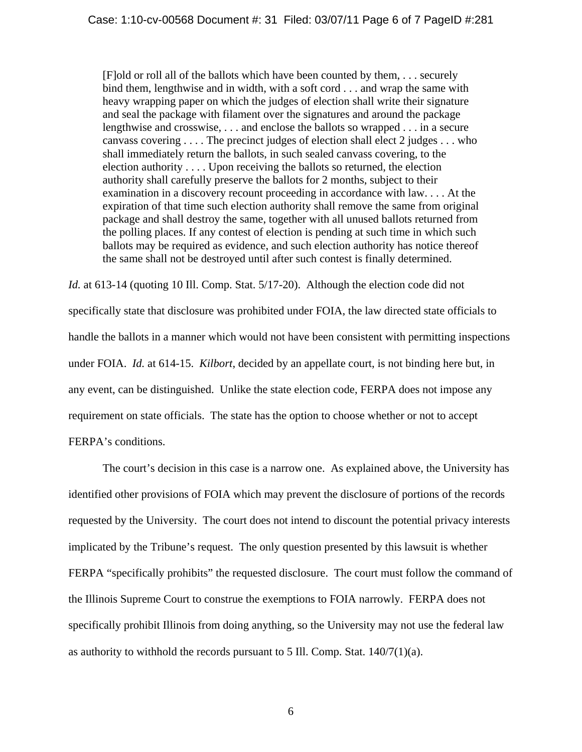[F]old or roll all of the ballots which have been counted by them, . . . securely bind them, lengthwise and in width, with a soft cord . . . and wrap the same with heavy wrapping paper on which the judges of election shall write their signature and seal the package with filament over the signatures and around the package lengthwise and crosswise, . . . and enclose the ballots so wrapped . . . in a secure canvass covering . . . . The precinct judges of election shall elect 2 judges . . . who shall immediately return the ballots, in such sealed canvass covering, to the election authority . . . . Upon receiving the ballots so returned, the election authority shall carefully preserve the ballots for 2 months, subject to their examination in a discovery recount proceeding in accordance with law. . . . At the expiration of that time such election authority shall remove the same from original package and shall destroy the same, together with all unused ballots returned from the polling places. If any contest of election is pending at such time in which such ballots may be required as evidence, and such election authority has notice thereof the same shall not be destroyed until after such contest is finally determined.

*Id.* at 613-14 (quoting 10 Ill. Comp. Stat. 5/17-20). Although the election code did not specifically state that disclosure was prohibited under FOIA, the law directed state officials to handle the ballots in a manner which would not have been consistent with permitting inspections under FOIA. *Id.* at 614-15. *Kilbort*, decided by an appellate court, is not binding here but, in any event, can be distinguished. Unlike the state election code, FERPA does not impose any requirement on state officials. The state has the option to choose whether or not to accept FERPA's conditions.

 The court's decision in this case is a narrow one. As explained above, the University has identified other provisions of FOIA which may prevent the disclosure of portions of the records requested by the University. The court does not intend to discount the potential privacy interests implicated by the Tribune's request. The only question presented by this lawsuit is whether FERPA "specifically prohibits" the requested disclosure. The court must follow the command of the Illinois Supreme Court to construe the exemptions to FOIA narrowly. FERPA does not specifically prohibit Illinois from doing anything, so the University may not use the federal law as authority to withhold the records pursuant to 5 Ill. Comp. Stat.  $140/7(1)(a)$ .

6